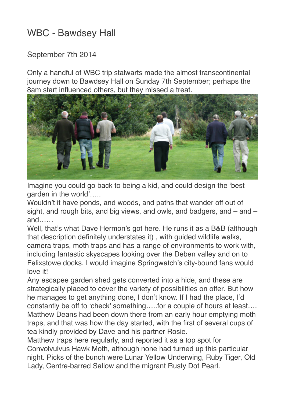## WBC - Bawdsey Hall

## September 7th 2014

Only a handful of WBC trip stalwarts made the almost transcontinental journey down to Bawdsey Hall on Sunday 7th September; perhaps the 8am start influenced others, but they missed a treat.



Imagine you could go back to being a kid, and could design the 'best garden in the world'.....

Wouldn't it have ponds, and woods, and paths that wander off out of sight, and rough bits, and big views, and owls, and badgers, and – and – and……

Well, that's what Dave Hermon's got here. He runs it as a B&B (although that description definitely understates it) , with guided wildlife walks, camera traps, moth traps and has a range of environments to work with, including fantastic skyscapes looking over the Deben valley and on to Felixstowe docks. I would imagine Springwatch's city-bound fans would love it!

Any escapee garden shed gets converted into a hide, and these are strategically placed to cover the variety of possibilities on offer. But how he manages to get anything done, I don't know. If I had the place, I'd constantly be off to 'check' something…..for a couple of hours at least…. Matthew Deans had been down there from an early hour emptying moth traps, and that was how the day started, with the first of several cups of tea kindly provided by Dave and his partner Rosie.

Matthew traps here regularly, and reported it as a top spot for Convolvulvus Hawk Moth, although none had turned up this particular night. Picks of the bunch were Lunar Yellow Underwing, Ruby Tiger, Old Lady, Centre-barred Sallow and the migrant Rusty Dot Pearl.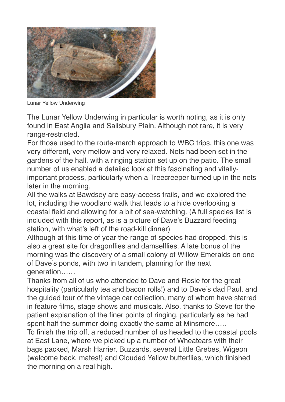

Lunar Yellow Underwing

The Lunar Yellow Underwing in particular is worth noting, as it is only found in East Anglia and Salisbury Plain. Although not rare, it is very range-restricted.

For those used to the route-march approach to WBC trips, this one was very different, very mellow and very relaxed. Nets had been set in the gardens of the hall, with a ringing station set up on the patio. The small number of us enabled a detailed look at this fascinating and vitallyimportant process, particularly when a Treecreeper turned up in the nets later in the morning.

All the walks at Bawdsey are easy-access trails, and we explored the lot, including the woodland walk that leads to a hide overlooking a coastal field and allowing for a bit of sea-watching. (A full species list is included with this report, as is a picture of Dave's Buzzard feeding station, with what's left of the road-kill dinner)

Although at this time of year the range of species had dropped, this is also a great site for dragonflies and damselflies. A late bonus of the morning was the discovery of a small colony of Willow Emeralds on one of Dave's ponds, with two in tandem, planning for the next generation……

Thanks from all of us who attended to Dave and Rosie for the great hospitality (particularly tea and bacon rolls!) and to Dave's dad Paul, and the guided tour of the vintage car collection, many of whom have starred in feature films, stage shows and musicals. Also, thanks to Steve for the patient explanation of the finer points of ringing, particularly as he had spent half the summer doing exactly the same at Minsmere.....

To finish the trip off, a reduced number of us headed to the coastal pools at East Lane, where we picked up a number of Wheatears with their bags packed, Marsh Harrier, Buzzards, several Little Grebes, Wigeon (welcome back, mates!) and Clouded Yellow butterflies, which finished the morning on a real high.